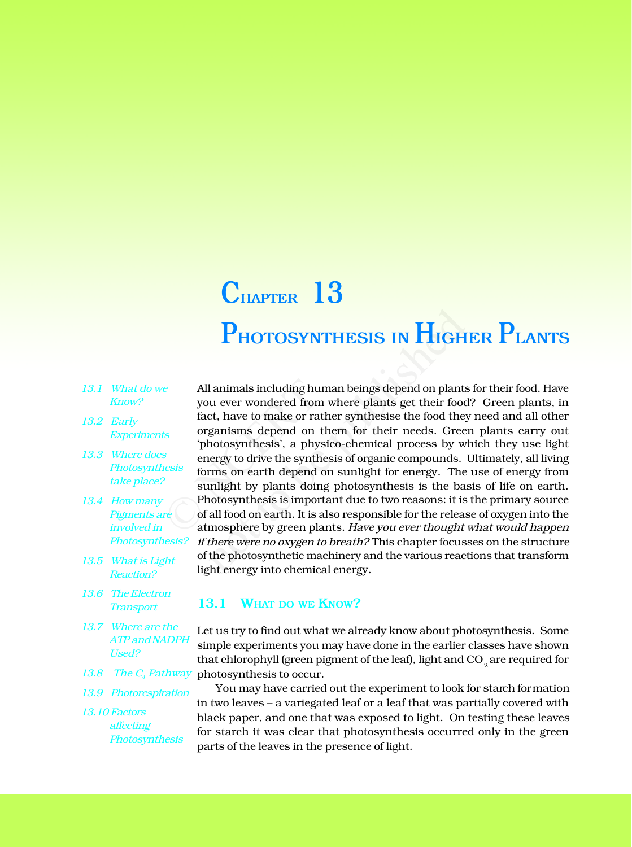## **PHOTOSYNTHESIS IN HIGHER PLANTS CHAPTER 13**

- *13.1 What do we Know?*
- *13.2 Early Experiments*
- *13.3 Where does Photosynthesis take place?*
- *13.4 How many Pigments are involved in Photosynthesis?*
- *13.5 What is Light Reaction?*
- *13.6 The Electron Transport*
- *13.7 Where are the ATP and NADPH Used?*
- 
- *13.9 Photorespiration*
- *13.10 Factors affecting Photosynthesis*

All animals including human beings depend on plants for their food. Have you ever wondered from where plants get their food? Green plants, in fact, have to make or rather synthesise the food they need and all other organisms depend on them for their needs. Green plants carry out 'photosynthesis', a physico-chemical process by which they use light energy to drive the synthesis of organic compounds. Ultimately, all living forms on earth depend on sunlight for energy. The use of energy from sunlight by plants doing photosynthesis is the basis of life on earth. Photosynthesis is important due to two reasons: it is the primary source of all food on earth. It is also responsible for the release of oxygen into the atmosphere by green plants. *Have you ever thought what would happen if there were no oxygen to breath?* This chapter focusses on the structure of the photosynthetic machinery and the various reactions that transform light energy into chemical energy. Example 10 All animals including human<br>you ever wondered from wh<br>fact, have to make or rather<br>organisms depend on there<br>photosynthesis', a physica<br>energy to drive the synthesis<br>forms on earth depend on<br>sunlight by plants d **PHOTOSYNTHESIS IN HIGH**<br>
l animals including human beings depend on plants<br>
ou ever wondered from where plants get their food<br>
ct, have to make or rather synthesise the food they<br>
ganisms depend on them for their needs. G

## **13.1 WHAT DO WE KNOW?**

Let us try to find out what we already know about photosynthesis. Some simple experiments you may have done in the earlier classes have shown that chlorophyll (green pigment of the leaf), light and CO  $_{\textrm{\tiny{2}}}$  are required for 13.8 The  $C_4$  Pathway photosynthesis to occur.

> You may have carried out the experiment to look for starch formation in two leaves – a variegated leaf or a leaf that was partially covered with black paper, and one that was exposed to light. On testing these leaves for starch it was clear that photosynthesis occurred only in the green parts of the leaves in the presence of light.